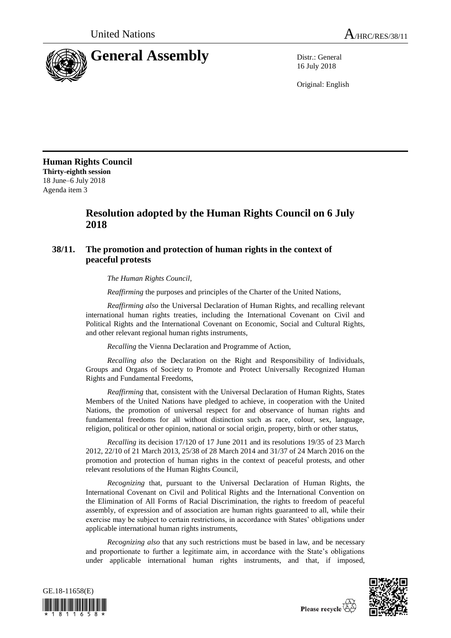

16 July 2018

Original: English

**Human Rights Council Thirty-eighth session** 18 June–6 July 2018 Agenda item 3

## **Resolution adopted by the Human Rights Council on 6 July 2018**

## **38/11. The promotion and protection of human rights in the context of peaceful protests**

*The Human Rights Council*,

*Reaffirming* the purposes and principles of the Charter of the United Nations,

*Reaffirming also* the Universal Declaration of Human Rights, and recalling relevant international human rights treaties, including the International Covenant on Civil and Political Rights and the International Covenant on Economic, Social and Cultural Rights, and other relevant regional human rights instruments,

*Recalling* the Vienna Declaration and Programme of Action,

*Recalling also* the Declaration on the Right and Responsibility of Individuals, Groups and Organs of Society to Promote and Protect Universally Recognized Human Rights and Fundamental Freedoms,

*Reaffirming* that, consistent with the Universal Declaration of Human Rights, States Members of the United Nations have pledged to achieve, in cooperation with the United Nations, the promotion of universal respect for and observance of human rights and fundamental freedoms for all without distinction such as race, colour, sex, language, religion, political or other opinion, national or social origin, property, birth or other status,

*Recalling* its decision 17/120 of 17 June 2011 and its resolutions 19/35 of 23 March 2012, 22/10 of 21 March 2013, 25/38 of 28 March 2014 and 31/37 of 24 March 2016 on the promotion and protection of human rights in the context of peaceful protests, and other relevant resolutions of the Human Rights Council,

*Recognizing* that, pursuant to the Universal Declaration of Human Rights, the International Covenant on Civil and Political Rights and the International Convention on the Elimination of All Forms of Racial Discrimination, the rights to freedom of peaceful assembly, of expression and of association are human rights guaranteed to all, while their exercise may be subject to certain restrictions, in accordance with States' obligations under applicable international human rights instruments,

*Recognizing also* that any such restrictions must be based in law, and be necessary and proportionate to further a legitimate aim, in accordance with the State's obligations under applicable international human rights instruments, and that, if imposed,



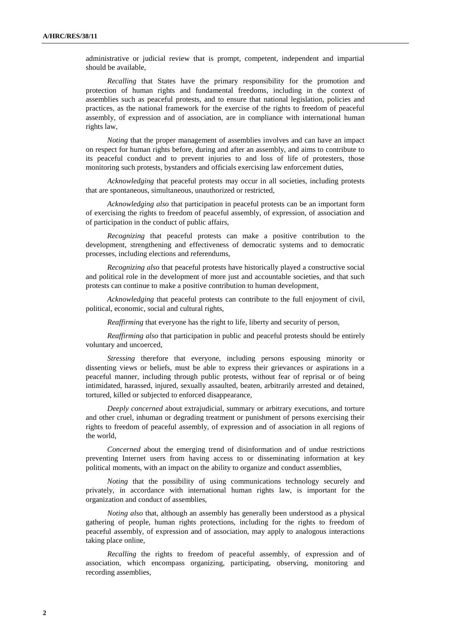administrative or judicial review that is prompt, competent, independent and impartial should be available,

*Recalling* that States have the primary responsibility for the promotion and protection of human rights and fundamental freedoms, including in the context of assemblies such as peaceful protests, and to ensure that national legislation, policies and practices, as the national framework for the exercise of the rights to freedom of peaceful assembly, of expression and of association, are in compliance with international human rights law,

*Noting* that the proper management of assemblies involves and can have an impact on respect for human rights before, during and after an assembly, and aims to contribute to its peaceful conduct and to prevent injuries to and loss of life of protesters, those monitoring such protests, bystanders and officials exercising law enforcement duties,

*Acknowledging* that peaceful protests may occur in all societies, including protests that are spontaneous, simultaneous, unauthorized or restricted,

*Acknowledging also* that participation in peaceful protests can be an important form of exercising the rights to freedom of peaceful assembly, of expression, of association and of participation in the conduct of public affairs,

*Recognizing* that peaceful protests can make a positive contribution to the development, strengthening and effectiveness of democratic systems and to democratic processes, including elections and referendums,

*Recognizing also* that peaceful protests have historically played a constructive social and political role in the development of more just and accountable societies, and that such protests can continue to make a positive contribution to human development,

*Acknowledging* that peaceful protests can contribute to the full enjoyment of civil, political, economic, social and cultural rights,

*Reaffirming* that everyone has the right to life, liberty and security of person,

*Reaffirming also* that participation in public and peaceful protests should be entirely voluntary and uncoerced,

*Stressing* therefore that everyone, including persons espousing minority or dissenting views or beliefs, must be able to express their grievances or aspirations in a peaceful manner, including through public protests, without fear of reprisal or of being intimidated, harassed, injured, sexually assaulted, beaten, arbitrarily arrested and detained, tortured, killed or subjected to enforced disappearance,

*Deeply concerned* about extrajudicial, summary or arbitrary executions, and torture and other cruel, inhuman or degrading treatment or punishment of persons exercising their rights to freedom of peaceful assembly, of expression and of association in all regions of the world,

*Concerned* about the emerging trend of disinformation and of undue restrictions preventing Internet users from having access to or disseminating information at key political moments, with an impact on the ability to organize and conduct assemblies,

*Noting* that the possibility of using communications technology securely and privately, in accordance with international human rights law, is important for the organization and conduct of assemblies,

*Noting also* that, although an assembly has generally been understood as a physical gathering of people, human rights protections, including for the rights to freedom of peaceful assembly, of expression and of association, may apply to analogous interactions taking place online,

*Recalling* the rights to freedom of peaceful assembly, of expression and of association, which encompass organizing, participating, observing, monitoring and recording assemblies,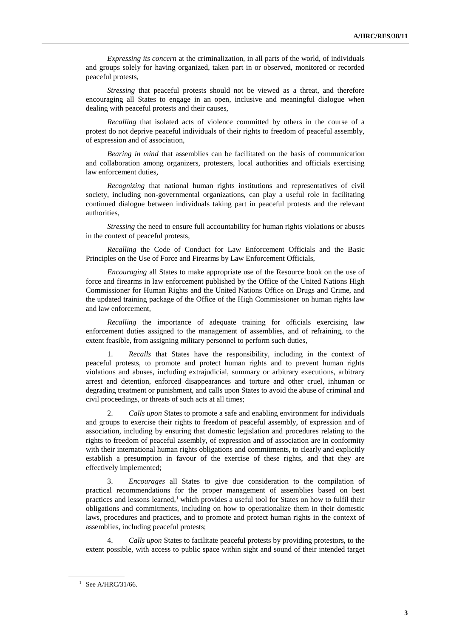*Expressing its concern* at the criminalization, in all parts of the world, of individuals and groups solely for having organized, taken part in or observed, monitored or recorded peaceful protests,

*Stressing* that peaceful protests should not be viewed as a threat, and therefore encouraging all States to engage in an open, inclusive and meaningful dialogue when dealing with peaceful protests and their causes,

*Recalling* that isolated acts of violence committed by others in the course of a protest do not deprive peaceful individuals of their rights to freedom of peaceful assembly, of expression and of association,

*Bearing in mind* that assemblies can be facilitated on the basis of communication and collaboration among organizers, protesters, local authorities and officials exercising law enforcement duties,

*Recognizing* that national human rights institutions and representatives of civil society, including non-governmental organizations, can play a useful role in facilitating continued dialogue between individuals taking part in peaceful protests and the relevant authorities,

*Stressing* the need to ensure full accountability for human rights violations or abuses in the context of peaceful protests,

*Recalling* the Code of Conduct for Law Enforcement Officials and the Basic Principles on the Use of Force and Firearms by Law Enforcement Officials,

*Encouraging* all States to make appropriate use of the Resource book on the use of force and firearms in law enforcement published by the Office of the United Nations High Commissioner for Human Rights and the United Nations Office on Drugs and Crime, and the updated training package of the Office of the High Commissioner on human rights law and law enforcement,

*Recalling* the importance of adequate training for officials exercising law enforcement duties assigned to the management of assemblies, and of refraining, to the extent feasible, from assigning military personnel to perform such duties,

Recalls that States have the responsibility, including in the context of peaceful protests, to promote and protect human rights and to prevent human rights violations and abuses, including extrajudicial, summary or arbitrary executions, arbitrary arrest and detention, enforced disappearances and torture and other cruel, inhuman or degrading treatment or punishment, and calls upon States to avoid the abuse of criminal and civil proceedings, or threats of such acts at all times;

2. *Calls upon* States to promote a safe and enabling environment for individuals and groups to exercise their rights to freedom of peaceful assembly, of expression and of association, including by ensuring that domestic legislation and procedures relating to the rights to freedom of peaceful assembly, of expression and of association are in conformity with their international human rights obligations and commitments, to clearly and explicitly establish a presumption in favour of the exercise of these rights, and that they are effectively implemented;

3. *Encourages* all States to give due consideration to the compilation of practical recommendations for the proper management of assemblies based on best practices and lessons learned,<sup>1</sup> which provides a useful tool for States on how to fulfil their obligations and commitments, including on how to operationalize them in their domestic laws, procedures and practices, and to promote and protect human rights in the context of assemblies, including peaceful protests;

4. *Calls upon* States to facilitate peaceful protests by providing protestors, to the extent possible, with access to public space within sight and sound of their intended target

 $1$  See A/HRC/31/66.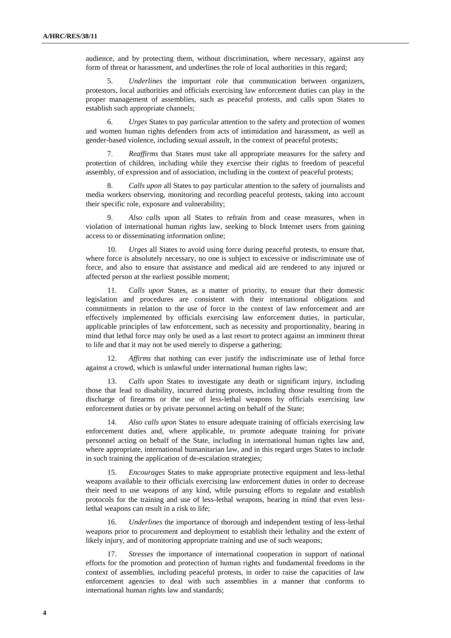audience, and by protecting them, without discrimination, where necessary, against any form of threat or harassment, and underlines the role of local authorities in this regard;

5. *Underlines* the important role that communication between organizers, protestors, local authorities and officials exercising law enforcement duties can play in the proper management of assemblies, such as peaceful protests, and calls upon States to establish such appropriate channels;

6. *Urges* States to pay particular attention to the safety and protection of women and women human rights defenders from acts of intimidation and harassment, as well as gender-based violence, including sexual assault, in the context of peaceful protests;

7. *Reaffirms* that States must take all appropriate measures for the safety and protection of children, including while they exercise their rights to freedom of peaceful assembly, of expression and of association, including in the context of peaceful protests;

8. *Calls upon* all States to pay particular attention to the safety of journalists and media workers observing, monitoring and recording peaceful protests, taking into account their specific role, exposure and vulnerability;

Also calls upon all States to refrain from and cease measures, when in violation of international human rights law, seeking to block Internet users from gaining access to or disseminating information online;

10. *Urges* all States to avoid using force during peaceful protests, to ensure that, where force is absolutely necessary, no one is subject to excessive or indiscriminate use of force, and also to ensure that assistance and medical aid are rendered to any injured or affected person at the earliest possible moment;

11. *Calls upon* States, as a matter of priority, to ensure that their domestic legislation and procedures are consistent with their international obligations and commitments in relation to the use of force in the context of law enforcement and are effectively implemented by officials exercising law enforcement duties, in particular, applicable principles of law enforcement, such as necessity and proportionality, bearing in mind that lethal force may only be used as a last resort to protect against an imminent threat to life and that it may not be used merely to disperse a gathering;

12. *Affirms* that nothing can ever justify the indiscriminate use of lethal force against a crowd, which is unlawful under international human rights law;

13. *Calls upon* States to investigate any death or significant injury, including those that lead to disability, incurred during protests, including those resulting from the discharge of firearms or the use of less-lethal weapons by officials exercising law enforcement duties or by private personnel acting on behalf of the State;

14. *Also calls upon* States to ensure adequate training of officials exercising law enforcement duties and, where applicable, to promote adequate training for private personnel acting on behalf of the State, including in international human rights law and, where appropriate, international humanitarian law, and in this regard urges States to include in such training the application of de-escalation strategies;

15. *Encourages* States to make appropriate protective equipment and less-lethal weapons available to their officials exercising law enforcement duties in order to decrease their need to use weapons of any kind, while pursuing efforts to regulate and establish protocols for the training and use of less-lethal weapons, bearing in mind that even lesslethal weapons can result in a risk to life;

16. *Underlines* the importance of thorough and independent testing of less-lethal weapons prior to procurement and deployment to establish their lethality and the extent of likely injury, and of monitoring appropriate training and use of such weapons;

17. *Stresses* the importance of international cooperation in support of national efforts for the promotion and protection of human rights and fundamental freedoms in the context of assemblies, including peaceful protests, in order to raise the capacities of law enforcement agencies to deal with such assemblies in a manner that conforms to international human rights law and standards;